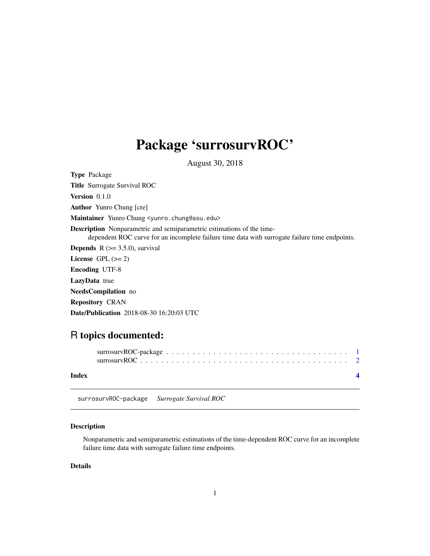## <span id="page-0-0"></span>Package 'surrosurvROC'

August 30, 2018

Type Package Title Surrogate Survival ROC Version 0.1.0 Author Yunro Chung [cre] Maintainer Yunro Chung <yunro.chung@asu.edu> Description Nonparametric and semiparametric estimations of the timedependent ROC curve for an incomplete failure time data with surrogate failure time endpoints. **Depends**  $R$  ( $> = 3.5.0$ ), survival License GPL  $(>= 2)$ Encoding UTF-8 LazyData true NeedsCompilation no Repository CRAN Date/Publication 2018-08-30 16:20:03 UTC

### R topics documented:

| Index |  |  |  |  |  |  |  |  |  |  |  |  |  |  |
|-------|--|--|--|--|--|--|--|--|--|--|--|--|--|--|

surrosurvROC-package *Surrogate Survival ROC*

#### Description

Nonparametric and semiparametric estimations of the time-dependent ROC curve for an incomplete failure time data with surrogate failure time endpoints.

#### Details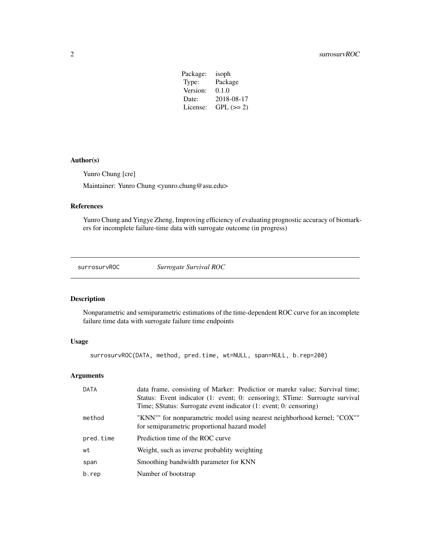| Package: | isoph       |
|----------|-------------|
| Type:    | Package     |
| Version: | 0.1.0       |
| Date:    | 2018-08-17  |
| License: | $GPL (= 2)$ |
|          |             |

#### <span id="page-1-0"></span>Author(s)

Yunro Chung [cre]

Maintainer: Yunro Chung <yunro.chung@asu.edu>

#### References

Yunro Chung and Yingye Zheng, Improving efficiency of evaluating prognostic accuracy of biomarkers for incomplete failure-time data with surrogate outcome (in progress)

surrosurvROC *Surrogate Survival ROC*

#### Description

Nonparametric and semiparametric estimations of the time-dependent ROC curve for an incomplete failure time data with surrogate failure time endpoints

#### Usage

surrosurvROC(DATA, method, pred.time, wt=NULL, span=NULL, b.rep=200)

#### Arguments

| DATA      | data frame, consisting of Marker: Predictior or marekr value; Survival time;<br>Status: Event indicator (1: event; 0: censoring); STime: Surroagte survival<br>Time; SStatus: Surrogate event indicator (1: event; 0: censoring) |
|-----------|----------------------------------------------------------------------------------------------------------------------------------------------------------------------------------------------------------------------------------|
| method    | "KNN"" for nonparametric model using nearest neighborhood kernel; "COX""<br>for semiparametric proportional hazard model                                                                                                         |
| pred.time | Prediction time of the ROC curve                                                                                                                                                                                                 |
| wt        | Weight, such as inverse probablity weighting                                                                                                                                                                                     |
| span      | Smoothing bandwidth parameter for KNN                                                                                                                                                                                            |
| b.rep     | Number of bootstrap                                                                                                                                                                                                              |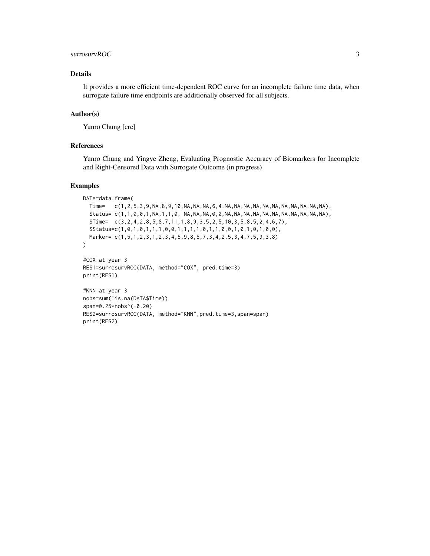#### surrosurvROC 3

#### Details

It provides a more efficient time-dependent ROC curve for an incomplete failure time data, when surrogate failure time endpoints are additionally observed for all subjects.

#### Author(s)

Yunro Chung [cre]

#### References

Yunro Chung and Yingye Zheng, Evaluating Prognostic Accuracy of Biomarkers for Incomplete and Right-Censored Data with Surrogate Outcome (in progress)

#### Examples

```
DATA=data.frame(
  Time= c(1,2,5,3,9,NA,8,9,10,NA,NA,NA,6,4,NA,NA,NA,NA,NA,NA,NA,NA,NA,NA,NA),
  Status= c(1,1,0,0,1,NA,1,1,0, NA,NA,NA,0,0,NA,NA,NA,NA,NA,NA,NA,NA,NA,NA,NA),
  STime= c(3,2,4,2,8,5,8,7,11,1,8,9,3,5,2,5,10,3,5,8,5,2,4,6,7),
  SStatus=c(1,0,1,0,1,1,1,0,0,1,1,1,1,0,1,1,0,0,1,0,1,0,1,0,0),
  Marker= c(1,5,1,2,3,1,2,3,4,5,9,8,5,7,3,4,2,5,3,4,7,5,9,3,8)
)
#COX at year 3
RES1=surrosurvROC(DATA, method="COX", pred.time=3)
print(RES1)
#KNN at year 3
nobs=sum(!is.na(DATA$Time))
span=0.25*nobs^(-0.20)
RES2=surrosurvROC(DATA, method="KNN",pred.time=3,span=span)
print(RES2)
```